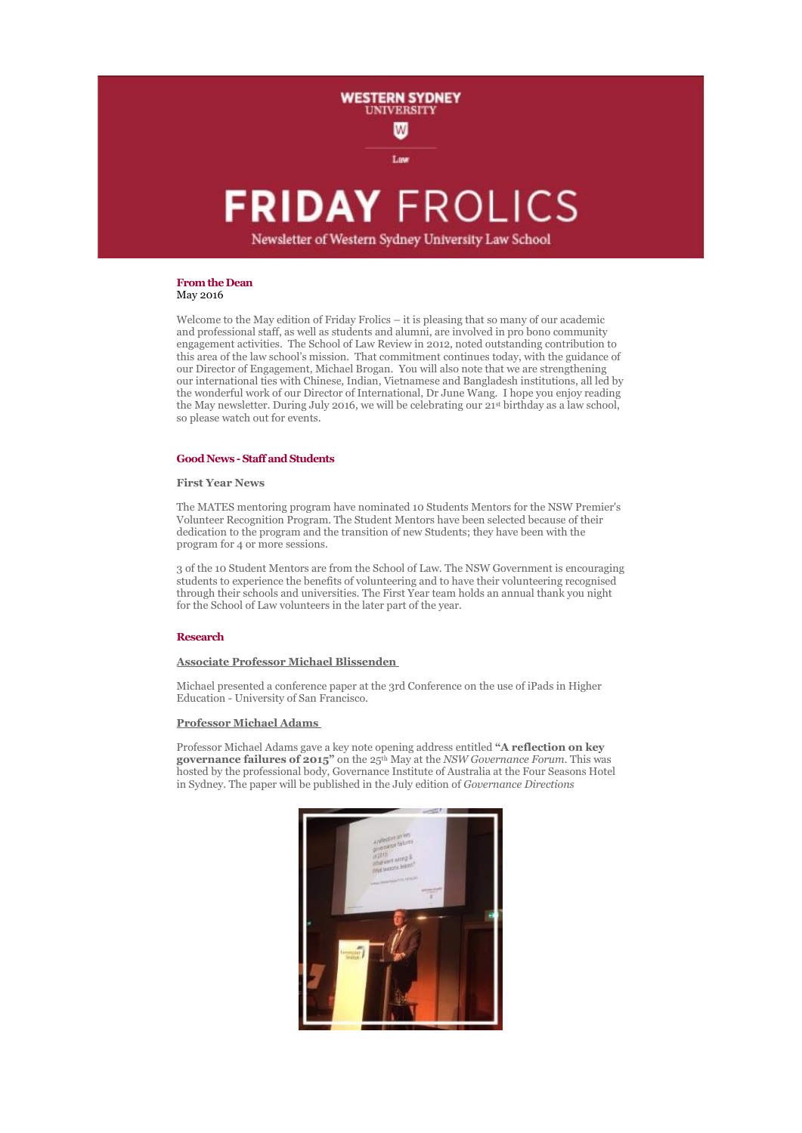

# **FRIDAY FROLICS**

Newsletter of Western Sydney University Law School

## **From the Dean** May 2016

Welcome to the May edition of Friday Frolics – it is pleasing that so many of our academic and professional staff, as well as students and alumni, are involved in pro bono community engagement activities. The School of Law Review in 2012, noted outstanding contribution to this area of the law school's mission. That commitment continues today, with the guidance of our Director of Engagement, Michael Brogan. You will also note that we are strengthening our international ties with Chinese, Indian, Vietnamese and Bangladesh institutions, all led by the wonderful work of our Director of International, Dr June Wang. I hope you enjoy reading the May newsletter. During July 2016, we will be celebrating our 21st birthday as a law school, so please watch out for events.

## **Good News -Staff and Students**

#### **First Year News**

The MATES mentoring program have nominated 10 Students Mentors for the NSW Premier's Volunteer Recognition Program. The Student Mentors have been selected because of their dedication to the program and the transition of new Students; they have been with the program for 4 or more sessions.

3 of the 10 Student Mentors are from the School of Law. The NSW Government is encouraging students to experience the benefits of volunteering and to have their volunteering recognised through their schools and universities. The First Year team holds an annual thank you night for the School of Law volunteers in the later part of the year.

## **Research**

## **Associate Professor Michael Blissenden**

Michael presented a conference paper at the 3rd Conference on the use of iPads in Higher Education - University of San Francisco.

## **Professor Michael Adams**

Professor Michael Adams gave a key note opening address entitled **"A reflection on key governance failures of 2015"** on the 25th May at the *NSW Governance Forum.* This was hosted by the professional body, Governance Institute of Australia at the Four Seasons Hotel in Sydney. The paper will be published in the July edition of *Governance Directions*

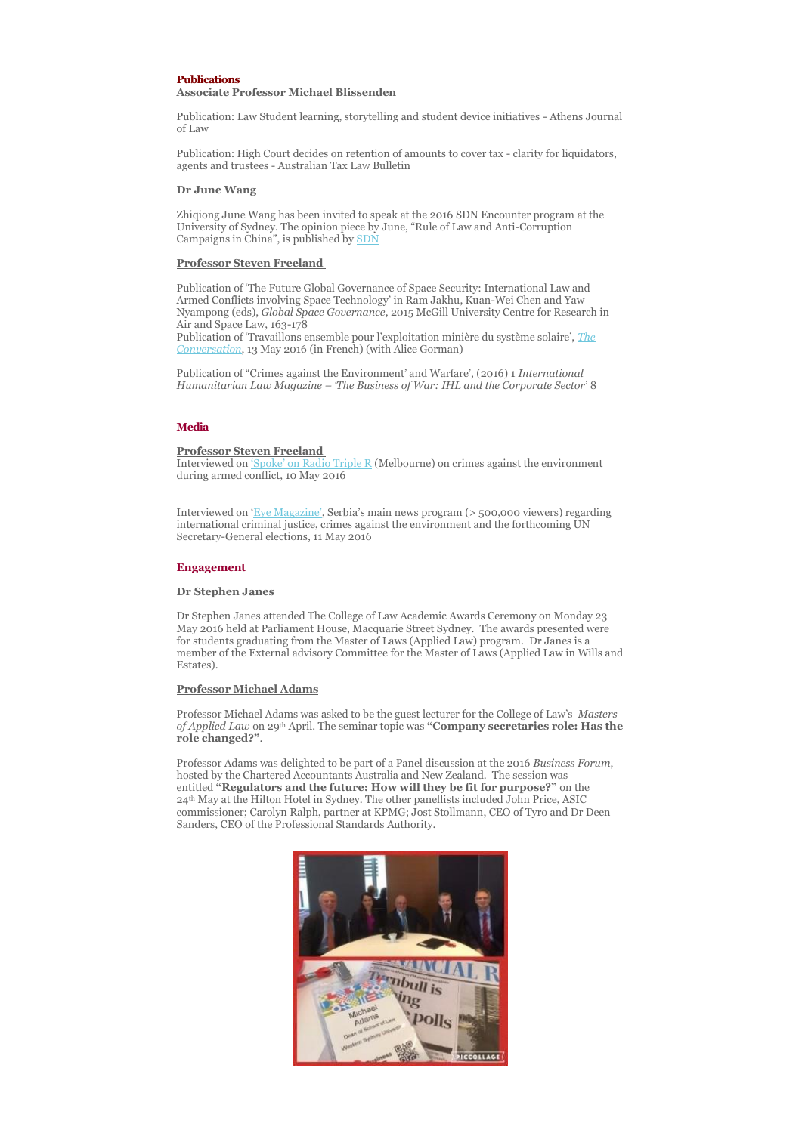## **Publications Associate Professor Michael Blissenden**

Publication: Law Student learning, storytelling and student device initiatives - Athens Journal of Law

Publication: High Court decides on retention of amounts to cover tax - clarity for liquidators, agents and trustees - Australian Tax Law Bulletin

## **Dr June Wang**

Zhiqiong June Wang has been invited to speak at the 2016 SDN Encounter program at the University of Sydney. The opinion piece by June, "Rule of Law and Anti-Corruption Campaigns in China", is published by **[SDN](http://sydneydemocracynetwork.org/article-rule-law-anti-corruption-campaigns-china/)** 

## **Professor Steven Freeland**

Publication of 'The Future Global Governance of Space Security: International Law and Armed Conflicts involving Space Technology' in Ram Jakhu, Kuan-Wei Chen and Yaw Nyampong (eds), *Global Space Governance*, 2015 McGill University Centre for Research in Air and Space Law, 163-178

Publication of 'Travaillons ensemble pour l'exploitation minière du système solaire', *[The](https://theconversation.com/travaillons-ensemble-pour-lexploitation-miniere-du-systeme-solaire-58316)  [Conversation](https://theconversation.com/travaillons-ensemble-pour-lexploitation-miniere-du-systeme-solaire-58316)*, 13 May 2016 (in French) (with Alice Gorman)

Publication of "Crimes against the Environment' and Warfare', (2016) 1 *International Humanitarian Law Magazine – 'The Business of War: IHL and the Corporate Sector*' 8

## **Media**

#### **Professor Steven Freeland**

Interviewed on ['Spoke' on Radio Triple R](http://ondemand.rrr.org.au/grid/2016051010114) (Melbourne) on crimes against the environment during armed conflict, 10 May 2016

Interviewed on ['Eye Magazine',](https://www.youtube.com/watch?v=RvJ6mMiqgBA) Serbia's main news program (> 500,000 viewers) regarding international criminal justice, crimes against the environment and the forthcoming UN Secretary-General elections, 11 May 2016

## **Engagement**

## **Dr Stephen Janes**

Dr Stephen Janes attended The College of Law Academic Awards Ceremony on Monday 23 May 2016 held at Parliament House, Macquarie Street Sydney. The awards presented were for students graduating from the Master of Laws (Applied Law) program. Dr Janes is a member of the External advisory Committee for the Master of Laws (Applied Law in Wills and Estates).

#### **Professor Michael Adams**

Professor Michael Adams was asked to be the guest lecturer for the College of Law's *Masters of Applied Law* on 29th April. The seminar topic was **"Company secretaries role: Has the role changed?"**.

Professor Adams was delighted to be part of a Panel discussion at the 2016 *Business Forum*, hosted by the Chartered Accountants Australia and New Zealand. The session was entitled **"Regulators and the future: How will they be fit for purpose?"** on the 24th May at the Hilton Hotel in Sydney. The other panellists included John Price, ASIC commissioner; Carolyn Ralph, partner at KPMG; Jost Stollmann, CEO of Tyro and Dr Deen Sanders, CEO of the Professional Standards Authority.